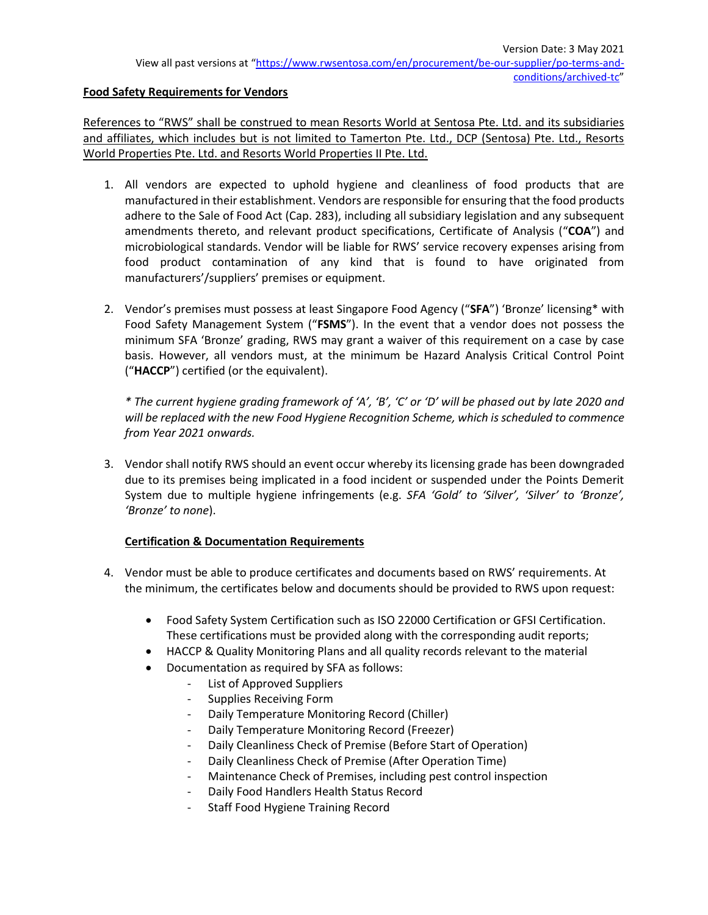#### **Food Safety Requirements for Vendors**

References to "RWS" shall be construed to mean Resorts World at Sentosa Pte. Ltd. and its subsidiaries and affiliates, which includes but is not limited to Tamerton Pte. Ltd., DCP (Sentosa) Pte. Ltd., Resorts World Properties Pte. Ltd. and Resorts World Properties II Pte. Ltd.

- 1. All vendors are expected to uphold hygiene and cleanliness of food products that are manufactured in their establishment. Vendors are responsible for ensuring that the food products adhere to the Sale of Food Act (Cap. 283), including all subsidiary legislation and any subsequent amendments thereto, and relevant product specifications, Certificate of Analysis ("**COA**") and microbiological standards. Vendor will be liable for RWS' service recovery expenses arising from food product contamination of any kind that is found to have originated from manufacturers'/suppliers' premises or equipment.
- 2. Vendor's premises must possess at least Singapore Food Agency ("**SFA**") 'Bronze' licensing\* with Food Safety Management System ("**FSMS**"). In the event that a vendor does not possess the minimum SFA 'Bronze' grading, RWS may grant a waiver of this requirement on a case by case basis. However, all vendors must, at the minimum be Hazard Analysis Critical Control Point ("**HACCP**") certified (or the equivalent).

*\* The current hygiene grading framework of 'A', 'B', 'C' or 'D' will be phased out by late 2020 and will be replaced with the new Food Hygiene Recognition Scheme, which is scheduled to commence from Year 2021 onwards.*

3. Vendor shall notify RWS should an event occur whereby its licensing grade has been downgraded due to its premises being implicated in a food incident or suspended under the Points Demerit System due to multiple hygiene infringements (e.g. *SFA 'Gold' to 'Silver', 'Silver' to 'Bronze', 'Bronze' to none*).

### **Certification & Documentation Requirements**

- 4. Vendor must be able to produce certificates and documents based on RWS' requirements. At the minimum, the certificates below and documents should be provided to RWS upon request:
	- Food Safety System Certification such as ISO 22000 Certification or GFSI Certification. These certifications must be provided along with the corresponding audit reports;
	- HACCP & Quality Monitoring Plans and all quality records relevant to the material
	- Documentation as required by SFA as follows:
		- List of Approved Suppliers
			- Supplies Receiving Form
			- Daily Temperature Monitoring Record (Chiller)
			- Daily Temperature Monitoring Record (Freezer)
			- Daily Cleanliness Check of Premise (Before Start of Operation)
			- Daily Cleanliness Check of Premise (After Operation Time)
			- Maintenance Check of Premises, including pest control inspection
			- Daily Food Handlers Health Status Record
			- Staff Food Hygiene Training Record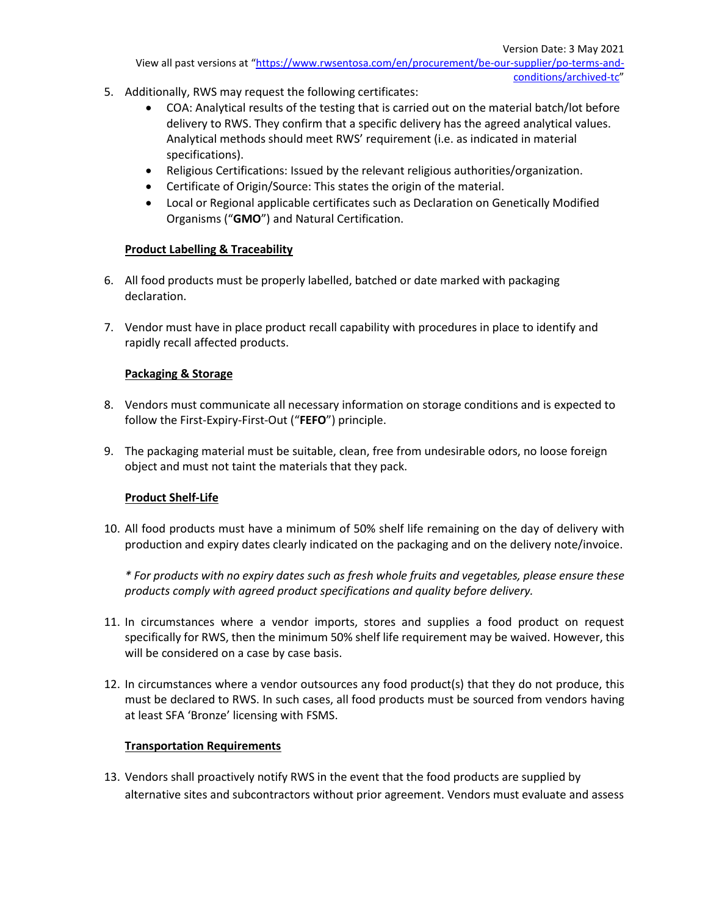- 5. Additionally, RWS may request the following certificates:
	- COA: Analytical results of the testing that is carried out on the material batch/lot before delivery to RWS. They confirm that a specific delivery has the agreed analytical values. Analytical methods should meet RWS' requirement (i.e. as indicated in material specifications).
	- Religious Certifications: Issued by the relevant religious authorities/organization.
	- Certificate of Origin/Source: This states the origin of the material.
	- Local or Regional applicable certificates such as Declaration on Genetically Modified Organisms ("**GMO**") and Natural Certification.

### **Product Labelling & Traceability**

- 6. All food products must be properly labelled, batched or date marked with packaging declaration.
- 7. Vendor must have in place product recall capability with procedures in place to identify and rapidly recall affected products.

## **Packaging & Storage**

- 8. Vendors must communicate all necessary information on storage conditions and is expected to follow the First-Expiry-First-Out ("**FEFO**") principle.
- 9. The packaging material must be suitable, clean, free from undesirable odors, no loose foreign object and must not taint the materials that they pack.

### **Product Shelf-Life**

10. All food products must have a minimum of 50% shelf life remaining on the day of delivery with production and expiry dates clearly indicated on the packaging and on the delivery note/invoice.

*\* For products with no expiry dates such as fresh whole fruits and vegetables, please ensure these products comply with agreed product specifications and quality before delivery.*

- 11. In circumstances where a vendor imports, stores and supplies a food product on request specifically for RWS, then the minimum 50% shelf life requirement may be waived. However, this will be considered on a case by case basis.
- 12. In circumstances where a vendor outsources any food product(s) that they do not produce, this must be declared to RWS. In such cases, all food products must be sourced from vendors having at least SFA 'Bronze' licensing with FSMS.

# **Transportation Requirements**

13. Vendors shall proactively notify RWS in the event that the food products are supplied by alternative sites and subcontractors without prior agreement. Vendors must evaluate and assess